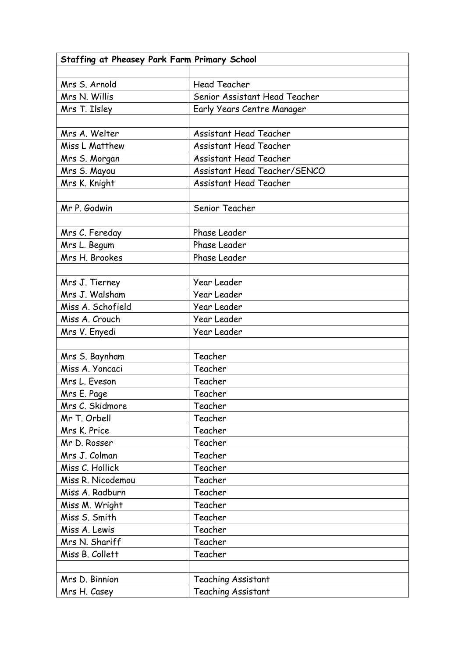| Staffing at Pheasey Park Farm Primary School |                               |  |
|----------------------------------------------|-------------------------------|--|
|                                              |                               |  |
| Mrs S. Arnold                                | <b>Head Teacher</b>           |  |
| Mrs N. Willis                                | Senior Assistant Head Teacher |  |
| Mrs T. Ilsley                                | Early Years Centre Manager    |  |
|                                              |                               |  |
| Mrs A. Welter                                | <b>Assistant Head Teacher</b> |  |
| Miss L Matthew                               | <b>Assistant Head Teacher</b> |  |
| Mrs S. Morgan                                | <b>Assistant Head Teacher</b> |  |
| Mrs S. Mayou                                 | Assistant Head Teacher/SENCO  |  |
| Mrs K. Knight                                | <b>Assistant Head Teacher</b> |  |
|                                              |                               |  |
| Mr P. Godwin                                 | Senior Teacher                |  |
|                                              |                               |  |
| Mrs C. Fereday                               | Phase Leader                  |  |
| Mrs L. Begum                                 | Phase Leader                  |  |
| Mrs H. Brookes                               | Phase Leader                  |  |
|                                              |                               |  |
| Mrs J. Tierney                               | Year Leader                   |  |
| Mrs J. Walsham                               | Year Leader                   |  |
| Miss A. Schofield                            | Year Leader                   |  |
| Miss A. Crouch                               | <b>Year Leader</b>            |  |
| Mrs V. Enyedi                                | <b>Year Leader</b>            |  |
|                                              |                               |  |
| Mrs S. Baynham                               | Teacher                       |  |
| Miss A. Yoncaci                              | Teacher                       |  |
| Mrs L. Eveson                                | Teacher                       |  |
| Mrs E. Page                                  | Teacher                       |  |
| Mrs C. Skidmore                              | Teacher                       |  |
| Mr T. Orbell                                 | Teacher                       |  |
| Mrs K. Price                                 | Teacher                       |  |
| Mr D. Rosser                                 | Teacher                       |  |
| Mrs J. Colman                                | Teacher                       |  |
| Miss C. Hollick                              | Teacher                       |  |
| Miss R. Nicodemou                            | Teacher                       |  |
| Miss A. Radburn                              | Teacher                       |  |
| Miss M. Wright                               | Teacher                       |  |
| Miss S. Smith                                | Teacher                       |  |
| Miss A. Lewis                                | Teacher                       |  |
| Mrs N. Shariff                               | Teacher                       |  |
| Miss B. Collett                              | Teacher                       |  |
|                                              |                               |  |
| Mrs D. Binnion                               | <b>Teaching Assistant</b>     |  |
| Mrs H. Casey                                 | <b>Teaching Assistant</b>     |  |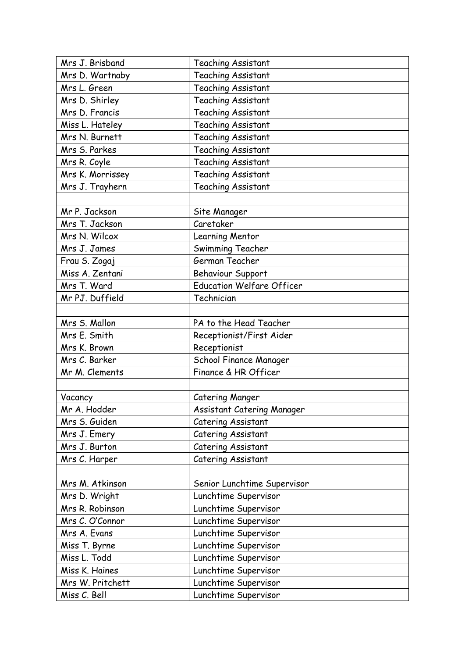| Mrs J. Brisband  | <b>Teaching Assistant</b>        |
|------------------|----------------------------------|
| Mrs D. Wartnaby  | Teaching Assistant               |
| Mrs L. Green     | Teaching Assistant               |
| Mrs D. Shirley   | Teaching Assistant               |
| Mrs D. Francis   | Teaching Assistant               |
| Miss L. Hateley  | Teaching Assistant               |
| Mrs N. Burnett   | Teaching Assistant               |
| Mrs S. Parkes    | Teaching Assistant               |
| Mrs R. Coyle     | Teaching Assistant               |
| Mrs K. Morrissey | Teaching Assistant               |
| Mrs J. Trayhern  | Teaching Assistant               |
|                  |                                  |
| Mr P. Jackson    | Site Manager                     |
| Mrs T. Jackson   | Caretaker                        |
| Mrs N. Wilcox    | Learning Mentor                  |
| Mrs J. James     | Swimming Teacher                 |
| Frau S. Zogaj    | German Teacher                   |
| Miss A. Zentani  | Behaviour Support                |
| Mrs T. Ward      | <b>Education Welfare Officer</b> |
| Mr PJ. Duffield  | Technician                       |
|                  |                                  |
| Mrs S. Mallon    | PA to the Head Teacher           |
| Mrs E. Smith     | Receptionist/First Aider         |
| Mrs K. Brown     | Receptionist                     |
| Mrs C. Barker    | School Finance Manager           |
| Mr M. Clements   | Finance & HR Officer             |
|                  |                                  |
| Vacancy          | <b>Catering Manger</b>           |
| Mr A. Hodder     | Assistant Catering Manager       |
| Mrs S. Guiden    | Catering Assistant               |
| Mrs J. Emery     | Catering Assistant               |
| Mrs J. Burton    | Catering Assistant               |
| Mrs C. Harper    | Catering Assistant               |
|                  |                                  |
| Mrs M. Atkinson  | Senior Lunchtime Supervisor      |
| Mrs D. Wright    | Lunchtime Supervisor             |
| Mrs R. Robinson  | Lunchtime Supervisor             |
| Mrs C. O'Connor  | Lunchtime Supervisor             |
| Mrs A. Evans     | Lunchtime Supervisor             |
| Miss T. Byrne    | Lunchtime Supervisor             |
| Miss L. Todd     | Lunchtime Supervisor             |
| Miss K. Haines   | Lunchtime Supervisor             |
| Mrs W. Pritchett | Lunchtime Supervisor             |
| Miss C. Bell     | Lunchtime Supervisor             |